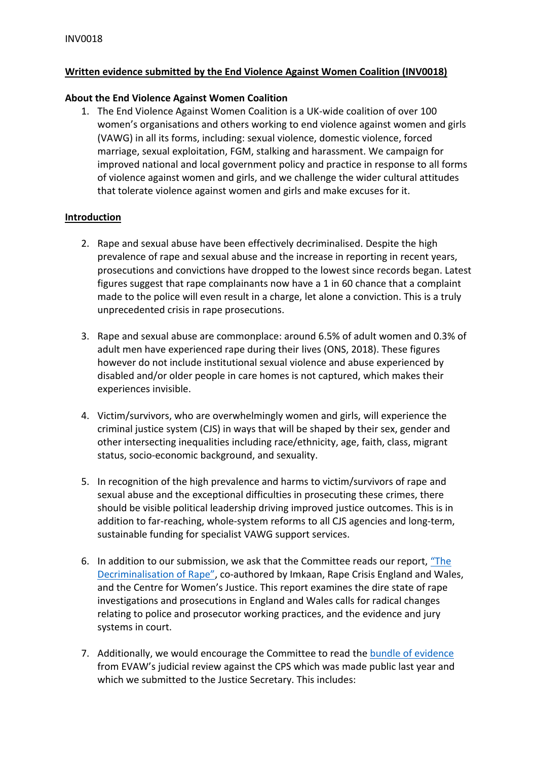# **Written evidence submitted by the End Violence Against Women Coalition (INV0018)**

## **About the End Violence Against Women Coalition**

1. The End Violence Against Women Coalition is a UK-wide coalition of over 100 women's organisations and others working to end violence against women and girls (VAWG) in all its forms, including: sexual violence, domestic violence, forced marriage, sexual exploitation, FGM, stalking and harassment. We campaign for improved national and local government policy and practice in response to all forms of violence against women and girls, and we challenge the wider cultural attitudes that tolerate violence against women and girls and make excuses for it.

# **Introduction**

- 2. Rape and sexual abuse have been effectively decriminalised. Despite the high prevalence of rape and sexual abuse and the increase in reporting in recent years, prosecutions and convictions have dropped to the lowest since records began. Latest figures suggest that rape complainants now have a 1 in 60 chance that a complaint made to the police will even result in a charge, let alone a conviction. This is a truly unprecedented crisis in rape prosecutions.
- 3. Rape and sexual abuse are commonplace: around 6.5% of adult women and 0.3% of adult men have experienced rape during their lives (ONS, 2018). These figures however do not include institutional sexual violence and abuse experienced by disabled and/or older people in care homes is not captured, which makes their experiences invisible.
- 4. Victim/survivors, who are overwhelmingly women and girls, will experience the criminal justice system (CJS) in ways that will be shaped by their sex, gender and other intersecting inequalities including race/ethnicity, age, faith, class, migrant status, socio-economic background, and sexuality.
- 5. In recognition of the high prevalence and harms to victim/survivors of rape and sexual abuse and the exceptional difficulties in prosecuting these crimes, there should be visible political leadership driving improved justice outcomes. This is in addition to far-reaching, whole-system reforms to all CJS agencies and long-term, sustainable funding for specialist VAWG support services.
- 6. In addition to our submission, we ask that the Committee reads our report, ["The](https://www.endviolenceagainstwomen.org.uk/wp-content/uploads/C-Decriminalisation-of-Rape-Report-CWJ-EVAW-IMKAAN-RCEW-NOV-2020.pdf) [Decriminalisation](https://www.endviolenceagainstwomen.org.uk/wp-content/uploads/C-Decriminalisation-of-Rape-Report-CWJ-EVAW-IMKAAN-RCEW-NOV-2020.pdf) [of](https://www.endviolenceagainstwomen.org.uk/wp-content/uploads/C-Decriminalisation-of-Rape-Report-CWJ-EVAW-IMKAAN-RCEW-NOV-2020.pdf) [Rape"](https://www.endviolenceagainstwomen.org.uk/wp-content/uploads/C-Decriminalisation-of-Rape-Report-CWJ-EVAW-IMKAAN-RCEW-NOV-2020.pdf), co-authored by Imkaan, Rape Crisis England and Wales, and the Centre for Women's Justice. This report examines the dire state of rape investigations and prosecutions in England and Wales calls for radical changes relating to police and prosecutor working practices, and the evidence and jury systems in court.
- 7. Additionally, we would encourage the Committee to read the [bundle](https://www.endviolenceagainstwomen.org.uk/our-judicial-review-evidence-against-cps-handed-over-to-government-2/) [of](https://www.endviolenceagainstwomen.org.uk/our-judicial-review-evidence-against-cps-handed-over-to-government-2/) [evidence](https://www.endviolenceagainstwomen.org.uk/our-judicial-review-evidence-against-cps-handed-over-to-government-2/) from EVAW's judicial review against the CPS which was made public last year and which we submitted to the Justice Secretary. This includes: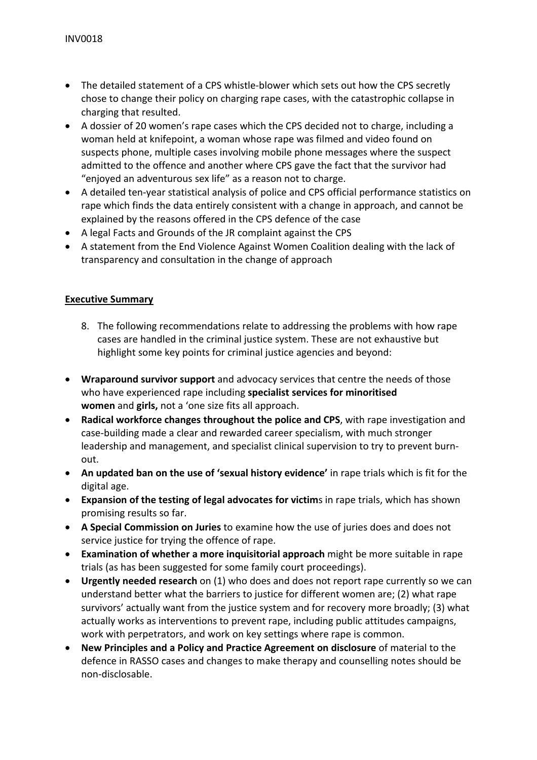- The detailed statement of a CPS whistle-blower which sets out how the CPS secretly chose to change their policy on charging rape cases, with the catastrophic collapse in charging that resulted.
- A dossier of 20 women's rape cases which the CPS decided not to charge, including a woman held at knifepoint, a woman whose rape was filmed and video found on suspects phone, multiple cases involving mobile phone messages where the suspect admitted to the offence and another where CPS gave the fact that the survivor had "enjoyed an adventurous sex life" as a reason not to charge.
- A detailed ten-year statistical analysis of police and CPS official performance statistics on rape which finds the data entirely consistent with a change in approach, and cannot be explained by the reasons offered in the CPS defence of the case
- A legal Facts and Grounds of the JR complaint against the CPS
- A statement from the End Violence Against Women Coalition dealing with the lack of transparency and consultation in the change of approach

# **Executive Summary**

- 8. The following recommendations relate to addressing the problems with how rape cases are handled in the criminal justice system. These are not exhaustive but highlight some key points for criminal justice agencies and beyond:
- **Wraparound survivor support** and advocacy services that centre the needs of those who have experienced rape including **specialist services for minoritised women** and **girls,** not a 'one size fits all approach.
- **Radical workforce changes throughout the police and CPS**, with rape investigation and case-building made a clear and rewarded career specialism, with much stronger leadership and management, and specialist clinical supervision to try to prevent burnout.
- **An updated ban on the use of 'sexual history evidence'** in rape trials which is fit for the digital age.
- **Expansion of the testing of legal advocates for victim**s in rape trials, which has shown promising results so far.
- **A Special Commission on Juries** to examine how the use of juries does and does not service justice for trying the offence of rape.
- **Examination of whether a more inquisitorial approach** might be more suitable in rape trials (as has been suggested for some family court proceedings).
- **Urgently needed research** on (1) who does and does not report rape currently so we can understand better what the barriers to justice for different women are; (2) what rape survivors' actually want from the justice system and for recovery more broadly; (3) what actually works as interventions to prevent rape, including public attitudes campaigns, work with perpetrators, and work on key settings where rape is common.
- **New Principles and a Policy and Practice Agreement on disclosure** of material to the defence in RASSO cases and changes to make therapy and counselling notes should be non-disclosable.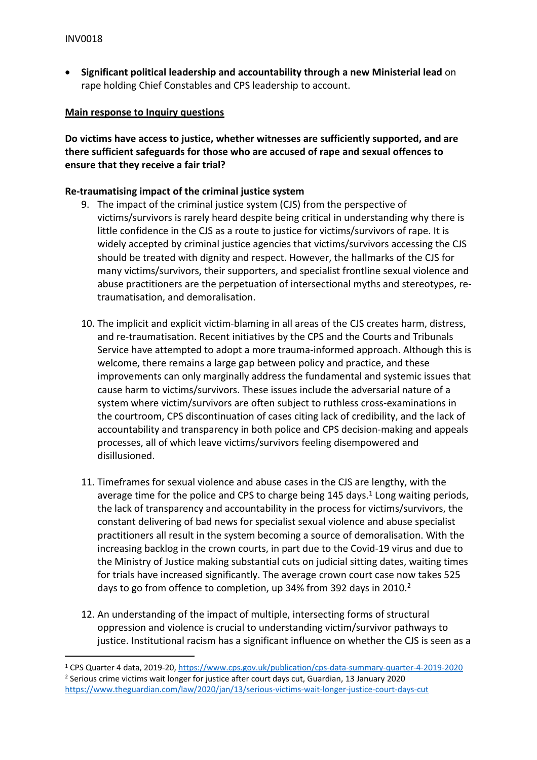**Significant political leadership and accountability through a new Ministerial lead** on rape holding Chief Constables and CPS leadership to account.

## **Main response to Inquiry questions**

**Do victims have access to justice, whether witnesses are sufficiently supported, and are there sufficient safeguards for those who are accused of rape and sexual offences to ensure that they receive a fair trial?**

# **Re-traumatising impact of the criminal justice system**

- 9. The impact of the criminal justice system (CJS) from the perspective of victims/survivors is rarely heard despite being critical in understanding why there is little confidence in the CJS as a route to justice for victims/survivors of rape. It is widely accepted by criminal justice agencies that victims/survivors accessing the CJS should be treated with dignity and respect. However, the hallmarks of the CJS for many victims/survivors, their supporters, and specialist frontline sexual violence and abuse practitioners are the perpetuation of intersectional myths and stereotypes, retraumatisation, and demoralisation.
- 10. The implicit and explicit victim-blaming in all areas of the CJS creates harm, distress, and re-traumatisation. Recent initiatives by the CPS and the Courts and Tribunals Service have attempted to adopt a more trauma-informed approach. Although this is welcome, there remains a large gap between policy and practice, and these improvements can only marginally address the fundamental and systemic issues that cause harm to victims/survivors. These issues include the adversarial nature of a system where victim/survivors are often subject to ruthless cross-examinations in the courtroom, CPS discontinuation of cases citing lack of credibility, and the lack of accountability and transparency in both police and CPS decision-making and appeals processes, all of which leave victims/survivors feeling disempowered and disillusioned.
- 11. Timeframes for sexual violence and abuse cases in the CJS are lengthy, with the average time for the police and CPS to charge being  $145$  days.<sup>1</sup> Long waiting periods, the lack of transparency and accountability in the process for victims/survivors, the constant delivering of bad news for specialist sexual violence and abuse specialist practitioners all result in the system becoming a source of demoralisation. With the increasing backlog in the crown courts, in part due to the Covid-19 virus and due to the Ministry of Justice making substantial cuts on judicial sitting dates, waiting times for trials have increased significantly. The average crown court case now takes 525 days to go from offence to completion, up 34% from 392 days in 2010.<sup>2</sup>
- 12. An understanding of the impact of multiple, intersecting forms of structural oppression and violence is crucial to understanding victim/survivor pathways to justice. Institutional racism has a significant influence on whether the CJS is seen as a

<sup>1</sup> CPS Quarter 4 data, 2019-20, <https://www.cps.gov.uk/publication/cps-data-summary-quarter-4-2019-2020> <sup>2</sup> Serious crime victims wait longer for justice after court days cut, Guardian, 13 January 2020 <https://www.theguardian.com/law/2020/jan/13/serious-victims-wait-longer-justice-court-days-cut>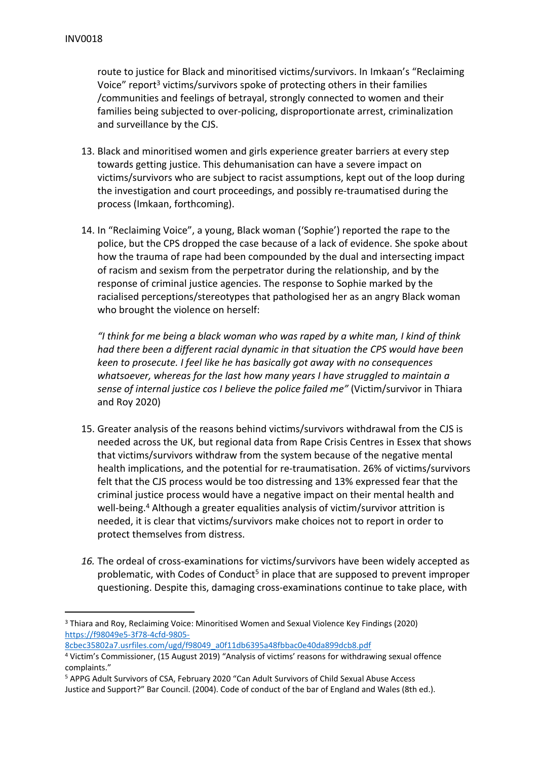route to justice for Black and minoritised victims/survivors. In Imkaan's "Reclaiming Voice" report<sup>3</sup> victims/survivors spoke of protecting others in their families /communities and feelings of betrayal, strongly connected to women and their families being subjected to over-policing, disproportionate arrest, criminalization and surveillance by the CJS.

- 13. Black and minoritised women and girls experience greater barriers at every step towards getting justice. This dehumanisation can have a severe impact on victims/survivors who are subject to racist assumptions, kept out of the loop during the investigation and court proceedings, and possibly re-traumatised during the process (Imkaan, forthcoming).
- 14. In "Reclaiming Voice", a young, Black woman ('Sophie') reported the rape to the police, but the CPS dropped the case because of a lack of evidence. She spoke about how the trauma of rape had been compounded by the dual and intersecting impact of racism and sexism from the perpetrator during the relationship, and by the response of criminal justice agencies. The response to Sophie marked by the racialised perceptions/stereotypes that pathologised her as an angry Black woman who brought the violence on herself:

*"I think for me being a black woman who was raped by a white man, I kind of think had there been a different racial dynamic in that situation the CPS would have been keen to prosecute. I feel like he has basically got away with no consequences whatsoever, whereas for the last how many years I have struggled to maintain a sense of internal justice cos I believe the police failed me"* (Victim/survivor in Thiara and Roy 2020)

- 15. Greater analysis of the reasons behind victims/survivors withdrawal from the CJS is needed across the UK, but regional data from Rape Crisis Centres in Essex that shows that victims/survivors withdraw from the system because of the negative mental health implications, and the potential for re-traumatisation. 26% of victims/survivors felt that the CJS process would be too distressing and 13% expressed fear that the criminal justice process would have a negative impact on their mental health and well-being.<sup>4</sup> Although a greater equalities analysis of victim/survivor attrition is needed, it is clear that victims/survivors make choices not to report in order to protect themselves from distress.
- *16.* The ordeal of cross-examinations for victims/survivors have been widely accepted as problematic, with Codes of Conduct<sup>5</sup> in place that are supposed to prevent improper questioning. Despite this, damaging cross-examinations continue to take place, with

[8cbec35802a7.usrfiles.com/ugd/f98049\\_a0f11db6395a48fbbac0e40da899dcb8.pdf](https://f98049e5-3f78-4cfd-9805-8cbec35802a7.usrfiles.com/ugd/f98049_a0f11db6395a48fbbac0e40da899dcb8.pdf)

<sup>3</sup> Thiara and Roy, Reclaiming Voice: Minoritised Women and Sexual Violence Key Findings (2020) [https://f98049e5-3f78-4cfd-9805-](https://f98049e5-3f78-4cfd-9805-8cbec35802a7.usrfiles.com/ugd/f98049_a0f11db6395a48fbbac0e40da899dcb8.pdf)

<sup>4</sup> Victim's Commissioner, (15 August 2019) "Analysis of victims' reasons for withdrawing sexual offence complaints."

<sup>5</sup> APPG Adult Survivors of CSA, February 2020 "Can Adult Survivors of Child Sexual Abuse Access Justice and Support?" Bar Council. (2004). Code of conduct of the bar of England and Wales (8th ed.).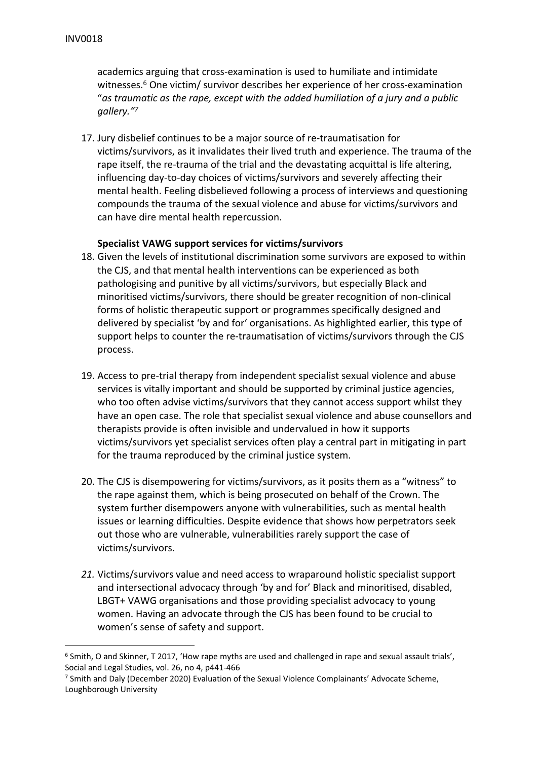academics arguing that cross-examination is used to humiliate and intimidate witnesses.<sup>6</sup> One victim/ survivor describes her experience of her cross-examination "*as traumatic as the rape, except with the added humiliation of a jury and a public gallery."<sup>7</sup>*

17. Jury disbelief continues to be a major source of re-traumatisation for victims/survivors, as it invalidates their lived truth and experience. The trauma of the rape itself, the re-trauma of the trial and the devastating acquittal is life altering, influencing day-to-day choices of victims/survivors and severely affecting their mental health. Feeling disbelieved following a process of interviews and questioning compounds the trauma of the sexual violence and abuse for victims/survivors and can have dire mental health repercussion.

# **Specialist VAWG support services for victims/survivors**

- 18. Given the levels of institutional discrimination some survivors are exposed to within the CJS, and that mental health interventions can be experienced as both pathologising and punitive by all victims/survivors, but especially Black and minoritised victims/survivors, there should be greater recognition of non-clinical forms of holistic therapeutic support or programmes specifically designed and delivered by specialist 'by and for' organisations. As highlighted earlier, this type of support helps to counter the re-traumatisation of victims/survivors through the CJS process.
- 19. Access to pre-trial therapy from independent specialist sexual violence and abuse services is vitally important and should be supported by criminal justice agencies, who too often advise victims/survivors that they cannot access support whilst they have an open case. The role that specialist sexual violence and abuse counsellors and therapists provide is often invisible and undervalued in how it supports victims/survivors yet specialist services often play a central part in mitigating in part for the trauma reproduced by the criminal justice system.
- 20. The CJS is disempowering for victims/survivors, as it posits them as a "witness" to the rape against them, which is being prosecuted on behalf of the Crown. The system further disempowers anyone with vulnerabilities, such as mental health issues or learning difficulties. Despite evidence that shows how perpetrators seek out those who are vulnerable, vulnerabilities rarely support the case of victims/survivors.
- *21.* Victims/survivors value and need access to wraparound holistic specialist support and intersectional advocacy through 'by and for' Black and minoritised, disabled, LBGT+ VAWG organisations and those providing specialist advocacy to young women. Having an advocate through the CJS has been found to be crucial to women's sense of safety and support.

<sup>&</sup>lt;sup>6</sup> Smith, O and Skinner, T 2017, 'How rape myths are used and challenged in rape and sexual assault trials', Social and Legal Studies, vol. 26, no 4, p441-466

<sup>7</sup> Smith and Daly (December 2020) Evaluation of the Sexual Violence Complainants' Advocate Scheme, Loughborough University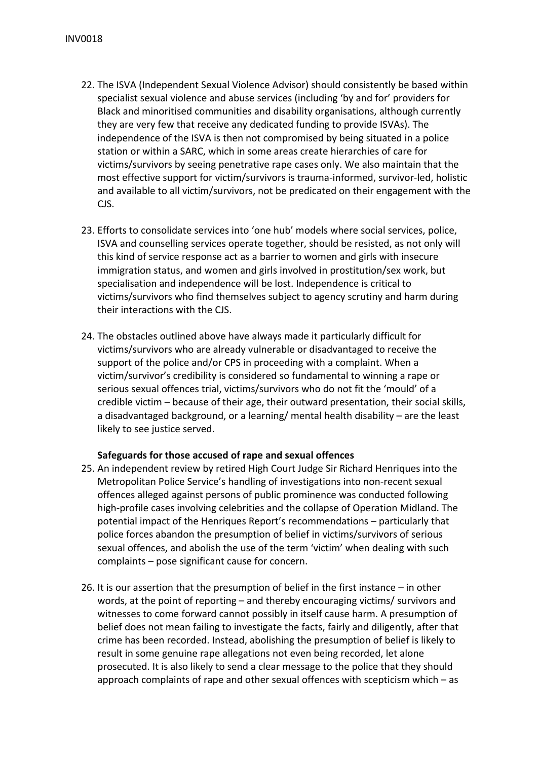- 22. The ISVA (Independent Sexual Violence Advisor) should consistently be based within specialist sexual violence and abuse services (including 'by and for' providers for Black and minoritised communities and disability organisations, although currently they are very few that receive any dedicated funding to provide ISVAs). The independence of the ISVA is then not compromised by being situated in a police station or within a SARC, which in some areas create hierarchies of care for victims/survivors by seeing penetrative rape cases only. We also maintain that the most effective support for victim/survivors is trauma-informed, survivor-led, holistic and available to all victim/survivors, not be predicated on their engagement with the CJS.
- 23. Efforts to consolidate services into 'one hub' models where social services, police, ISVA and counselling services operate together, should be resisted, as not only will this kind of service response act as a barrier to women and girls with insecure immigration status, and women and girls involved in prostitution/sex work, but specialisation and independence will be lost. Independence is critical to victims/survivors who find themselves subject to agency scrutiny and harm during their interactions with the CJS.
- 24. The obstacles outlined above have always made it particularly difficult for victims/survivors who are already vulnerable or disadvantaged to receive the support of the police and/or CPS in proceeding with a complaint. When a victim/survivor's credibility is considered so fundamental to winning a rape or serious sexual offences trial, victims/survivors who do not fit the 'mould' of a credible victim – because of their age, their outward presentation, their social skills, a disadvantaged background, or a learning/ mental health disability – are the least likely to see justice served.

## **Safeguards for those accused of rape and sexual offences**

- 25. An independent review by retired High Court Judge Sir Richard Henriques into the Metropolitan Police Service's handling of investigations into non-recent sexual offences alleged against persons of public prominence was conducted following high-profile cases involving celebrities and the collapse of Operation Midland. The potential impact of the Henriques Report's recommendations – particularly that police forces abandon the presumption of belief in victims/survivors of serious sexual offences, and abolish the use of the term 'victim' when dealing with such complaints – pose significant cause for concern.
- 26. It is our assertion that the presumption of belief in the first instance in other words, at the point of reporting – and thereby encouraging victims/ survivors and witnesses to come forward cannot possibly in itself cause harm. A presumption of belief does not mean failing to investigate the facts, fairly and diligently, after that crime has been recorded. Instead, abolishing the presumption of belief is likely to result in some genuine rape allegations not even being recorded, let alone prosecuted. It is also likely to send a clear message to the police that they should approach complaints of rape and other sexual offences with scepticism which – as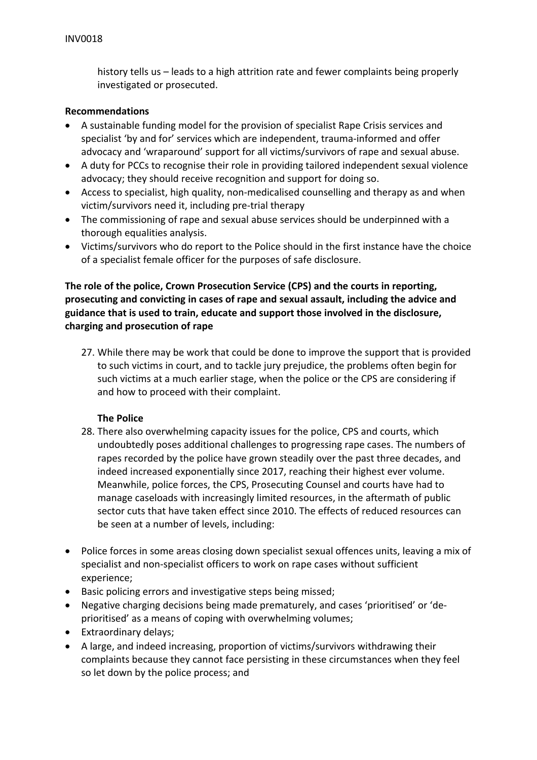history tells us – leads to a high attrition rate and fewer complaints being properly investigated or prosecuted.

## **Recommendations**

- A sustainable funding model for the provision of specialist Rape Crisis services and specialist 'by and for' services which are independent, trauma-informed and offer advocacy and 'wraparound' support for all victims/survivors of rape and sexual abuse.
- A duty for PCCs to recognise their role in providing tailored independent sexual violence advocacy; they should receive recognition and support for doing so.
- Access to specialist, high quality, non-medicalised counselling and therapy as and when victim/survivors need it, including pre-trial therapy
- The commissioning of rape and sexual abuse services should be underpinned with a thorough equalities analysis.
- Victims/survivors who do report to the Police should in the first instance have the choice of a specialist female officer for the purposes of safe disclosure.

# **The role of the police, Crown Prosecution Service (CPS) and the courts in reporting, prosecuting and convicting in cases of rape and sexual assault, including the advice and guidance that is used to train, educate and support those involved in the disclosure, charging and prosecution of rape**

27. While there may be work that could be done to improve the support that is provided to such victims in court, and to tackle jury prejudice, the problems often begin for such victims at a much earlier stage, when the police or the CPS are considering if and how to proceed with their complaint.

## **The Police**

- 28. There also overwhelming capacity issues for the police, CPS and courts, which undoubtedly poses additional challenges to progressing rape cases. The numbers of rapes recorded by the police have grown steadily over the past three decades, and indeed increased exponentially since 2017, reaching their highest ever volume. Meanwhile, police forces, the CPS, Prosecuting Counsel and courts have had to manage caseloads with increasingly limited resources, in the aftermath of public sector cuts that have taken effect since 2010. The effects of reduced resources can be seen at a number of levels, including:
- Police forces in some areas closing down specialist sexual offences units, leaving a mix of specialist and non-specialist officers to work on rape cases without sufficient experience;
- Basic policing errors and investigative steps being missed;
- Negative charging decisions being made prematurely, and cases 'prioritised' or 'deprioritised' as a means of coping with overwhelming volumes;
- Extraordinary delays;
- A large, and indeed increasing, proportion of victims/survivors withdrawing their complaints because they cannot face persisting in these circumstances when they feel so let down by the police process; and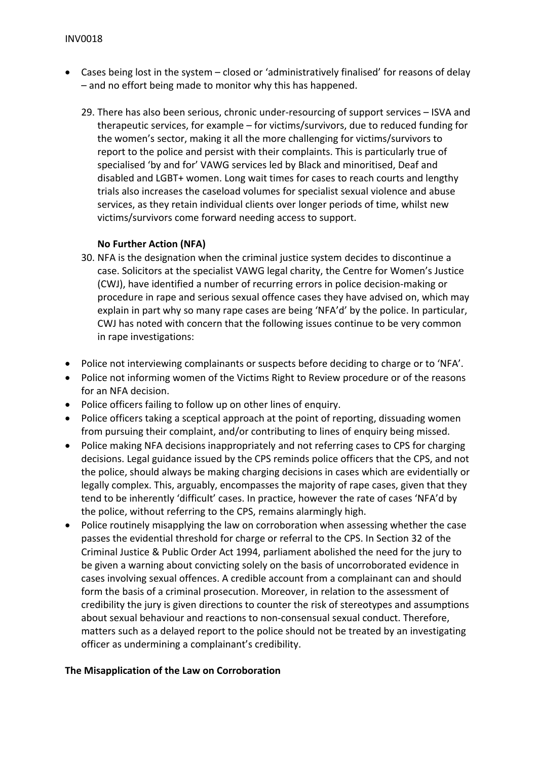- Cases being lost in the system closed or 'administratively finalised' for reasons of delay – and no effort being made to monitor why this has happened.
	- 29. There has also been serious, chronic under-resourcing of support services ISVA and therapeutic services, for example – for victims/survivors, due to reduced funding for the women's sector, making it all the more challenging for victims/survivors to report to the police and persist with their complaints. This is particularly true of specialised 'by and for' VAWG services led by Black and minoritised, Deaf and disabled and LGBT+ women. Long wait times for cases to reach courts and lengthy trials also increases the caseload volumes for specialist sexual violence and abuse services, as they retain individual clients over longer periods of time, whilst new victims/survivors come forward needing access to support.

## **No Further Action (NFA)**

- 30. NFA is the designation when the criminal justice system decides to discontinue a case. Solicitors at the specialist VAWG legal charity, the Centre for Women's Justice (CWJ), have identified a number of recurring errors in police decision-making or procedure in rape and serious sexual offence cases they have advised on, which may explain in part why so many rape cases are being 'NFA'd' by the police. In particular, CWJ has noted with concern that the following issues continue to be very common in rape investigations:
- Police not interviewing complainants or suspects before deciding to charge or to 'NFA'.
- Police not informing women of the Victims Right to Review procedure or of the reasons for an NFA decision.
- Police officers failing to follow up on other lines of enquiry.
- Police officers taking a sceptical approach at the point of reporting, dissuading women from pursuing their complaint, and/or contributing to lines of enquiry being missed.
- Police making NFA decisions inappropriately and not referring cases to CPS for charging decisions. Legal guidance issued by the CPS reminds police officers that the CPS, and not the police, should always be making charging decisions in cases which are evidentially or legally complex. This, arguably, encompasses the majority of rape cases, given that they tend to be inherently 'difficult' cases. In practice, however the rate of cases 'NFA'd by the police, without referring to the CPS, remains alarmingly high.
- Police routinely misapplying the law on corroboration when assessing whether the case passes the evidential threshold for charge or referral to the CPS. In Section 32 of the Criminal Justice & Public Order Act 1994, parliament abolished the need for the jury to be given a warning about convicting solely on the basis of uncorroborated evidence in cases involving sexual offences. A credible account from a complainant can and should form the basis of a criminal prosecution. Moreover, in relation to the assessment of credibility the jury is given directions to counter the risk of stereotypes and assumptions about sexual behaviour and reactions to non-consensual sexual conduct. Therefore, matters such as a delayed report to the police should not be treated by an investigating officer as undermining a complainant's credibility.

#### **The Misapplication of the Law on Corroboration**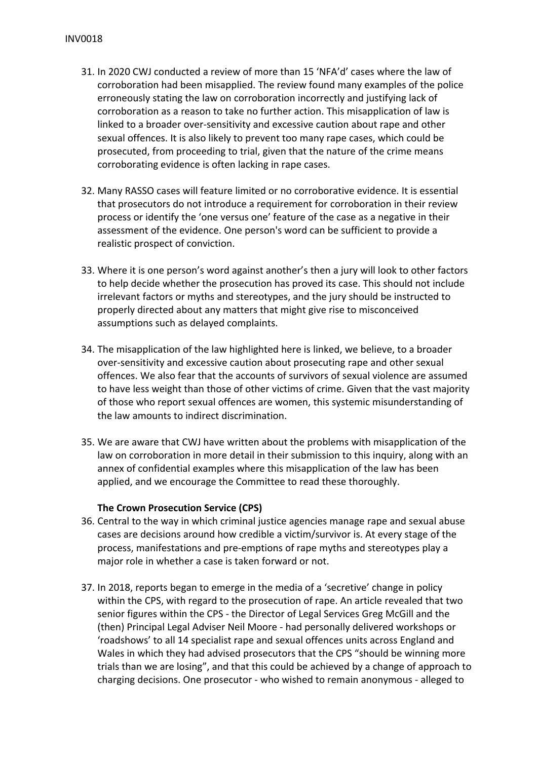- 31. In 2020 CWJ conducted a review of more than 15 'NFA'd' cases where the law of corroboration had been misapplied. The review found many examples of the police erroneously stating the law on corroboration incorrectly and justifying lack of corroboration as a reason to take no further action. This misapplication of law is linked to a broader over-sensitivity and excessive caution about rape and other sexual offences. It is also likely to prevent too many rape cases, which could be prosecuted, from proceeding to trial, given that the nature of the crime means corroborating evidence is often lacking in rape cases.
- 32. Many RASSO cases will feature limited or no corroborative evidence. It is essential that prosecutors do not introduce a requirement for corroboration in their review process or identify the 'one versus one' feature of the case as a negative in their assessment of the evidence. One person's word can be sufficient to provide a realistic prospect of conviction.
- 33. Where it is one person's word against another's then a jury will look to other factors to help decide whether the prosecution has proved its case. This should not include irrelevant factors or myths and stereotypes, and the jury should be instructed to properly directed about any matters that might give rise to misconceived assumptions such as delayed complaints.
- 34. The misapplication of the law highlighted here is linked, we believe, to a broader over-sensitivity and excessive caution about prosecuting rape and other sexual offences. We also fear that the accounts of survivors of sexual violence are assumed to have less weight than those of other victims of crime. Given that the vast majority of those who report sexual offences are women, this systemic misunderstanding of the law amounts to indirect discrimination.
- 35. We are aware that CWJ have written about the problems with misapplication of the law on corroboration in more detail in their submission to this inquiry, along with an annex of confidential examples where this misapplication of the law has been applied, and we encourage the Committee to read these thoroughly.

## **The Crown Prosecution Service (CPS)**

- 36. Central to the way in which criminal justice agencies manage rape and sexual abuse cases are decisions around how credible a victim/survivor is. At every stage of the process, manifestations and pre-emptions of rape myths and stereotypes play a major role in whether a case is taken forward or not.
- 37. In 2018, reports began to emerge in the media of a 'secretive' change in policy within the CPS, with regard to the prosecution of rape. An article revealed that two senior figures within the CPS - the Director of Legal Services Greg McGill and the (then) Principal Legal Adviser Neil Moore - had personally delivered workshops or 'roadshows' to all 14 specialist rape and sexual offences units across England and Wales in which they had advised prosecutors that the CPS "should be winning more trials than we are losing", and that this could be achieved by a change of approach to charging decisions. One prosecutor - who wished to remain anonymous - alleged to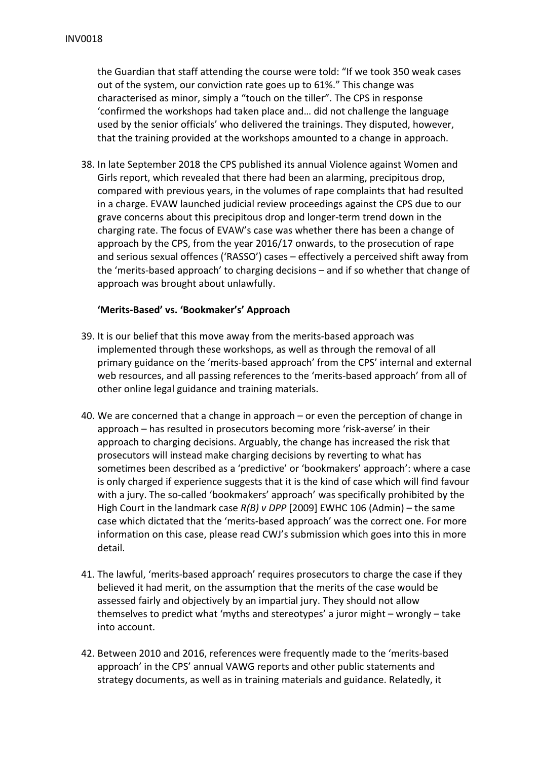the Guardian that staff attending the course were told: "If we took 350 weak cases out of the system, our conviction rate goes up to 61%." This change was characterised as minor, simply a "touch on the tiller". The CPS in response 'confirmed the workshops had taken place and… did not challenge the language used by the senior officials' who delivered the trainings. They disputed, however, that the training provided at the workshops amounted to a change in approach.

38. In late September 2018 the CPS published its annual Violence against Women and Girls report, which revealed that there had been an alarming, precipitous drop, compared with previous years, in the volumes of rape complaints that had resulted in a charge. EVAW launched judicial review proceedings against the CPS due to our grave concerns about this precipitous drop and longer-term trend down in the charging rate. The focus of EVAW's case was whether there has been a change of approach by the CPS, from the year 2016/17 onwards, to the prosecution of rape and serious sexual offences ('RASSO') cases – effectively a perceived shift away from the 'merits-based approach' to charging decisions – and if so whether that change of approach was brought about unlawfully.

#### **'Merits-Based' vs. 'Bookmaker's' Approach**

- 39. It is our belief that this move away from the merits-based approach was implemented through these workshops, as well as through the removal of all primary guidance on the 'merits-based approach' from the CPS' internal and external web resources, and all passing references to the 'merits-based approach' from all of other online legal guidance and training materials.
- 40. We are concerned that a change in approach or even the perception of change in approach – has resulted in prosecutors becoming more 'risk-averse' in their approach to charging decisions. Arguably, the change has increased the risk that prosecutors will instead make charging decisions by reverting to what has sometimes been described as a 'predictive' or 'bookmakers' approach': where a case is only charged if experience suggests that it is the kind of case which will find favour with a jury. The so-called 'bookmakers' approach' was specifically prohibited by the High Court in the landmark case *R(B) v DPP* [2009] EWHC 106 (Admin) – the same case which dictated that the 'merits-based approach' was the correct one. For more information on this case, please read CWJ's submission which goes into this in more detail.
- 41. The lawful, 'merits-based approach' requires prosecutors to charge the case if they believed it had merit, on the assumption that the merits of the case would be assessed fairly and objectively by an impartial jury. They should not allow themselves to predict what 'myths and stereotypes' a juror might – wrongly – take into account.
- 42. Between 2010 and 2016, references were frequently made to the 'merits-based approach' in the CPS' annual VAWG reports and other public statements and strategy documents, as well as in training materials and guidance. Relatedly, it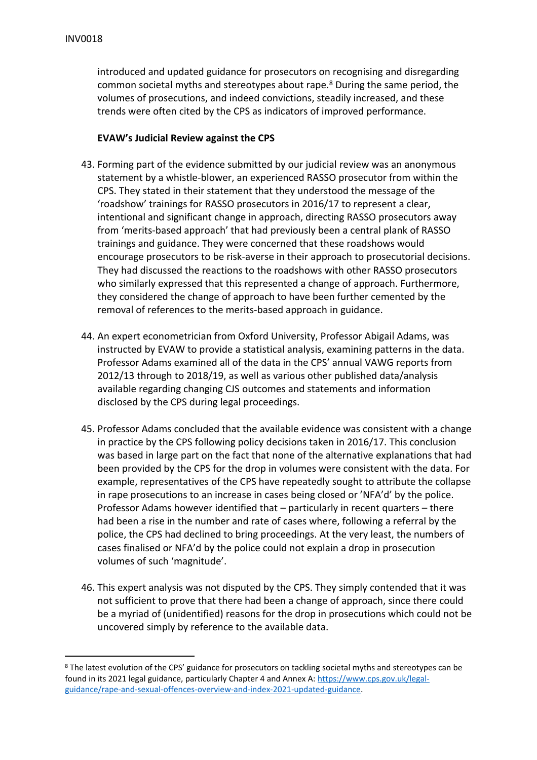introduced and updated guidance for prosecutors on recognising and disregarding common societal myths and stereotypes about rape.<sup>8</sup> During the same period, the volumes of prosecutions, and indeed convictions, steadily increased, and these trends were often cited by the CPS as indicators of improved performance.

## **EVAW's Judicial Review against the CPS**

- 43. Forming part of the evidence submitted by our judicial review was an anonymous statement by a whistle-blower, an experienced RASSO prosecutor from within the CPS. They stated in their statement that they understood the message of the 'roadshow' trainings for RASSO prosecutors in 2016/17 to represent a clear, intentional and significant change in approach, directing RASSO prosecutors away from 'merits-based approach' that had previously been a central plank of RASSO trainings and guidance. They were concerned that these roadshows would encourage prosecutors to be risk-averse in their approach to prosecutorial decisions. They had discussed the reactions to the roadshows with other RASSO prosecutors who similarly expressed that this represented a change of approach. Furthermore, they considered the change of approach to have been further cemented by the removal of references to the merits-based approach in guidance.
- 44. An expert econometrician from Oxford University, Professor Abigail Adams, was instructed by EVAW to provide a statistical analysis, examining patterns in the data. Professor Adams examined all of the data in the CPS' annual VAWG reports from 2012/13 through to 2018/19, as well as various other published data/analysis available regarding changing CJS outcomes and statements and information disclosed by the CPS during legal proceedings.
- 45. Professor Adams concluded that the available evidence was consistent with a change in practice by the CPS following policy decisions taken in 2016/17. This conclusion was based in large part on the fact that none of the alternative explanations that had been provided by the CPS for the drop in volumes were consistent with the data. For example, representatives of the CPS have repeatedly sought to attribute the collapse in rape prosecutions to an increase in cases being closed or 'NFA'd' by the police. Professor Adams however identified that – particularly in recent quarters – there had been a rise in the number and rate of cases where, following a referral by the police, the CPS had declined to bring proceedings. At the very least, the numbers of cases finalised or NFA'd by the police could not explain a drop in prosecution volumes of such 'magnitude'.
- 46. This expert analysis was not disputed by the CPS. They simply contended that it was not sufficient to prove that there had been a change of approach, since there could be a myriad of (unidentified) reasons for the drop in prosecutions which could not be uncovered simply by reference to the available data.

<sup>&</sup>lt;sup>8</sup> The latest evolution of the CPS' guidance for prosecutors on tackling societal myths and stereotypes can be found in its 2021 legal guidance, particularly Chapter 4 and Annex A: [https://www.cps.gov.uk/legal](https://www.cps.gov.uk/legal-guidance/rape-and-sexual-offences-overview-and-index-2021-updated-guidance)[guidance/rape-and-sexual-offences-overview-and-index-2021-updated-guidance.](https://www.cps.gov.uk/legal-guidance/rape-and-sexual-offences-overview-and-index-2021-updated-guidance)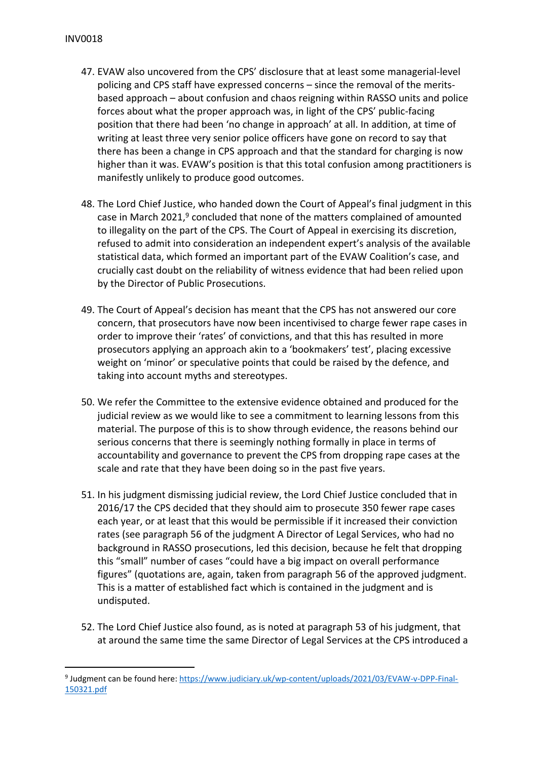- 47. EVAW also uncovered from the CPS' disclosure that at least some managerial-level policing and CPS staff have expressed concerns – since the removal of the meritsbased approach – about confusion and chaos reigning within RASSO units and police forces about what the proper approach was, in light of the CPS' public-facing position that there had been 'no change in approach' at all. In addition, at time of writing at least three very senior police officers have gone on record to say that there has been a change in CPS approach and that the standard for charging is now higher than it was. EVAW's position is that this total confusion among practitioners is manifestly unlikely to produce good outcomes.
- 48. The Lord Chief Justice, who handed down the Court of Appeal's final judgment in this case in March 2021,<sup>9</sup> concluded that none of the matters complained of amounted to illegality on the part of the CPS. The Court of Appeal in exercising its discretion, refused to admit into consideration an independent expert's analysis of the available statistical data, which formed an important part of the EVAW Coalition's case, and crucially cast doubt on the reliability of witness evidence that had been relied upon by the Director of Public Prosecutions.
- 49. The Court of Appeal's decision has meant that the CPS has not answered our core concern, that prosecutors have now been incentivised to charge fewer rape cases in order to improve their 'rates' of convictions, and that this has resulted in more prosecutors applying an approach akin to a 'bookmakers' test', placing excessive weight on 'minor' or speculative points that could be raised by the defence, and taking into account myths and stereotypes.
- 50. We refer the Committee to the extensive evidence obtained and produced for the judicial review as we would like to see a commitment to learning lessons from this material. The purpose of this is to show through evidence, the reasons behind our serious concerns that there is seemingly nothing formally in place in terms of accountability and governance to prevent the CPS from dropping rape cases at the scale and rate that they have been doing so in the past five years.
- 51. In his judgment dismissing judicial review, the Lord Chief Justice concluded that in 2016/17 the CPS decided that they should aim to prosecute 350 fewer rape cases each year, or at least that this would be permissible if it increased their conviction rates (see paragraph 56 of the judgment A Director of Legal Services, who had no background in RASSO prosecutions, led this decision, because he felt that dropping this "small" number of cases "could have a big impact on overall performance figures" (quotations are, again, taken from paragraph 56 of the approved judgment. This is a matter of established fact which is contained in the judgment and is undisputed.
- 52. The Lord Chief Justice also found, as is noted at paragraph 53 of his judgment, that at around the same time the same Director of Legal Services at the CPS introduced a

<sup>&</sup>lt;sup>9</sup> Judgment can be found here: [https://www.judiciary.uk/wp-content/uploads/2021/03/EVAW-v-DPP-Final-](https://www.judiciary.uk/wp-content/uploads/2021/03/EVAW-v-DPP-Final-150321.pdf)[150321.pdf](https://www.judiciary.uk/wp-content/uploads/2021/03/EVAW-v-DPP-Final-150321.pdf)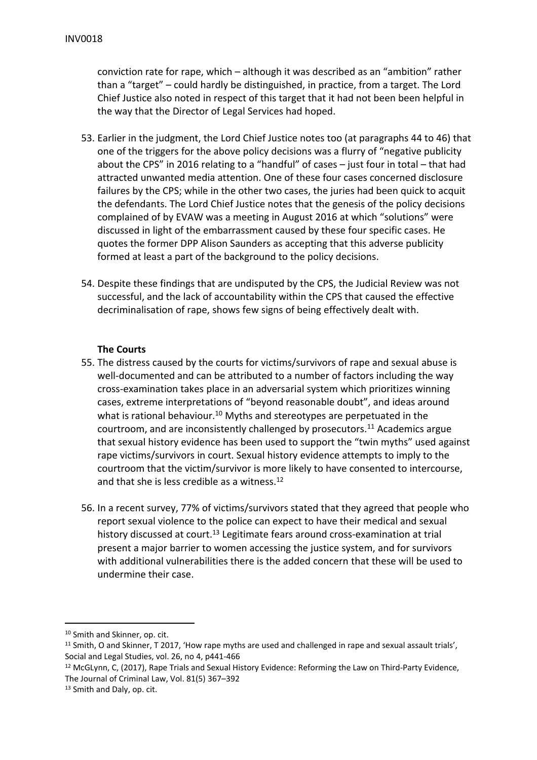conviction rate for rape, which – although it was described as an "ambition" rather than a "target" – could hardly be distinguished, in practice, from a target. The Lord Chief Justice also noted in respect of this target that it had not been been helpful in the way that the Director of Legal Services had hoped.

- 53. Earlier in the judgment, the Lord Chief Justice notes too (at paragraphs 44 to 46) that one of the triggers for the above policy decisions was a flurry of "negative publicity about the CPS" in 2016 relating to a "handful" of cases – just four in total – that had attracted unwanted media attention. One of these four cases concerned disclosure failures by the CPS; while in the other two cases, the juries had been quick to acquit the defendants. The Lord Chief Justice notes that the genesis of the policy decisions complained of by EVAW was a meeting in August 2016 at which "solutions" were discussed in light of the embarrassment caused by these four specific cases. He quotes the former DPP Alison Saunders as accepting that this adverse publicity formed at least a part of the background to the policy decisions.
- 54. Despite these findings that are undisputed by the CPS, the Judicial Review was not successful, and the lack of accountability within the CPS that caused the effective decriminalisation of rape, shows few signs of being effectively dealt with.

# **The Courts**

- 55. The distress caused by the courts for victims/survivors of rape and sexual abuse is well-documented and can be attributed to a number of factors including the way cross-examination takes place in an adversarial system which prioritizes winning cases, extreme interpretations of "beyond reasonable doubt", and ideas around what is rational behaviour.<sup>10</sup> Myths and stereotypes are perpetuated in the courtroom, and are inconsistently challenged by prosecutors.<sup>11</sup> Academics argue that sexual history evidence has been used to support the "twin myths" used against rape victims/survivors in court. Sexual history evidence attempts to imply to the courtroom that the victim/survivor is more likely to have consented to intercourse, and that she is less credible as a witness.<sup>12</sup>
- 56. In a recent survey, 77% of victims/survivors stated that they agreed that people who report sexual violence to the police can expect to have their medical and sexual history discussed at court.<sup>13</sup> Legitimate fears around cross-examination at trial present a major barrier to women accessing the justice system, and for survivors with additional vulnerabilities there is the added concern that these will be used to undermine their case.

<sup>10</sup> Smith and Skinner, op. cit.

<sup>&</sup>lt;sup>11</sup> Smith, O and Skinner, T 2017, 'How rape myths are used and challenged in rape and sexual assault trials', Social and Legal Studies, vol. 26, no 4, p441-466

<sup>&</sup>lt;sup>12</sup> McGLynn, C, (2017), Rape Trials and Sexual History Evidence: Reforming the Law on Third-Party Evidence, The Journal of Criminal Law, Vol. 81(5) 367–392

<sup>13</sup> Smith and Daly, op. cit.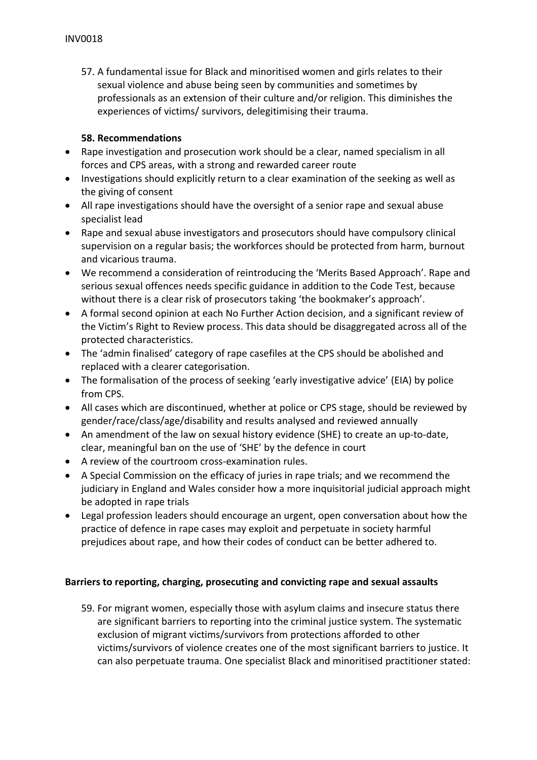57. A fundamental issue for Black and minoritised women and girls relates to their sexual violence and abuse being seen by communities and sometimes by professionals as an extension of their culture and/or religion. This diminishes the experiences of victims/ survivors, delegitimising their trauma.

# **58. Recommendations**

- Rape investigation and prosecution work should be a clear, named specialism in all forces and CPS areas, with a strong and rewarded career route
- Investigations should explicitly return to a clear examination of the seeking as well as the giving of consent
- All rape investigations should have the oversight of a senior rape and sexual abuse specialist lead
- Rape and sexual abuse investigators and prosecutors should have compulsory clinical supervision on a regular basis; the workforces should be protected from harm, burnout and vicarious trauma.
- We recommend a consideration of reintroducing the 'Merits Based Approach'. Rape and serious sexual offences needs specific guidance in addition to the Code Test, because without there is a clear risk of prosecutors taking 'the bookmaker's approach'.
- A formal second opinion at each No Further Action decision, and a significant review of the Victim's Right to Review process. This data should be disaggregated across all of the protected characteristics.
- The 'admin finalised' category of rape casefiles at the CPS should be abolished and replaced with a clearer categorisation.
- The formalisation of the process of seeking 'early investigative advice' (EIA) by police from CPS.
- All cases which are discontinued, whether at police or CPS stage, should be reviewed by gender/race/class/age/disability and results analysed and reviewed annually
- An amendment of the law on sexual history evidence (SHE) to create an up-to-date, clear, meaningful ban on the use of 'SHE' by the defence in court
- A review of the courtroom cross-examination rules.
- A Special Commission on the efficacy of juries in rape trials; and we recommend the judiciary in England and Wales consider how a more inquisitorial judicial approach might be adopted in rape trials
- Legal profession leaders should encourage an urgent, open conversation about how the practice of defence in rape cases may exploit and perpetuate in society harmful prejudices about rape, and how their codes of conduct can be better adhered to.

# **Barriers to reporting, charging, prosecuting and convicting rape and sexual assaults**

59. For migrant women, especially those with asylum claims and insecure status there are significant barriers to reporting into the criminal justice system. The systematic exclusion of migrant victims/survivors from protections afforded to other victims/survivors of violence creates one of the most significant barriers to justice. It can also perpetuate trauma. One specialist Black and minoritised practitioner stated: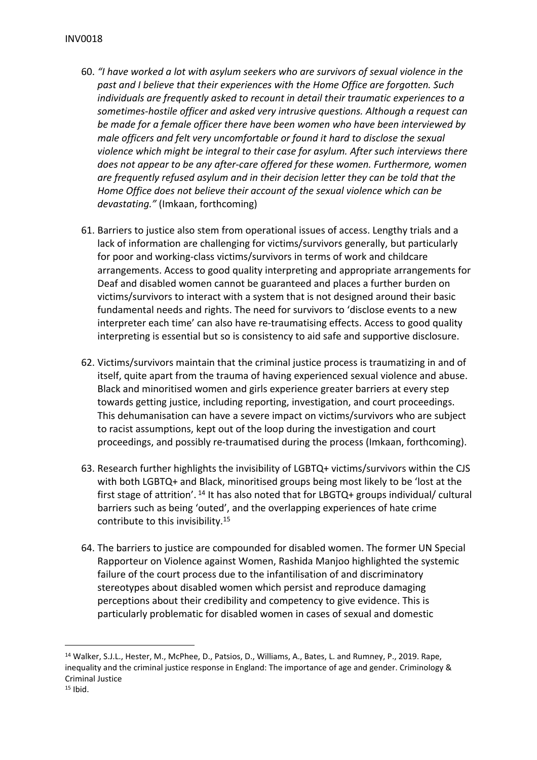- 60. *"I have worked a lot with asylum seekers who are survivors of sexual violence in the past and I believe that their experiences with the Home Office are forgotten. Such individuals are frequently asked to recount in detail their traumatic experiences to a sometimes-hostile officer and asked very intrusive questions. Although a request can be made for a female officer there have been women who have been interviewed by male officers and felt very uncomfortable or found it hard to disclose the sexual violence which might be integral to their case for asylum. After such interviews there does not appear to be any after-care offered for these women. Furthermore, women are frequently refused asylum and in their decision letter they can be told that the Home Office does not believe their account of the sexual violence which can be devastating."* (Imkaan, forthcoming)
- 61. Barriers to justice also stem from operational issues of access. Lengthy trials and a lack of information are challenging for victims/survivors generally, but particularly for poor and working-class victims/survivors in terms of work and childcare arrangements. Access to good quality interpreting and appropriate arrangements for Deaf and disabled women cannot be guaranteed and places a further burden on victims/survivors to interact with a system that is not designed around their basic fundamental needs and rights. The need for survivors to 'disclose events to a new interpreter each time' can also have re-traumatising effects. Access to good quality interpreting is essential but so is consistency to aid safe and supportive disclosure.
- 62. Victims/survivors maintain that the criminal justice process is traumatizing in and of itself, quite apart from the trauma of having experienced sexual violence and abuse. Black and minoritised women and girls experience greater barriers at every step towards getting justice, including reporting, investigation, and court proceedings. This dehumanisation can have a severe impact on victims/survivors who are subject to racist assumptions, kept out of the loop during the investigation and court proceedings, and possibly re-traumatised during the process (Imkaan, forthcoming).
- 63. Research further highlights the invisibility of LGBTQ+ victims/survivors within the CJS with both LGBTQ+ and Black, minoritised groups being most likely to be 'lost at the first stage of attrition'.<sup>14</sup> It has also noted that for LBGTQ+ groups individual/ cultural barriers such as being 'outed', and the overlapping experiences of hate crime contribute to this invisibility.<sup>15</sup>
- 64. The barriers to justice are compounded for disabled women. The former UN Special Rapporteur on Violence against Women, Rashida Manjoo highlighted the systemic failure of the court process due to the infantilisation of and discriminatory stereotypes about disabled women which persist and reproduce damaging perceptions about their credibility and competency to give evidence. This is particularly problematic for disabled women in cases of sexual and domestic

<sup>14</sup> Walker, S.J.L., Hester, M., McPhee, D., Patsios, D., Williams, A., Bates, L. and Rumney, P., 2019. Rape, inequality and the criminal justice response in England: The importance of age and gender. Criminology & Criminal Justice  $15$  Ibid.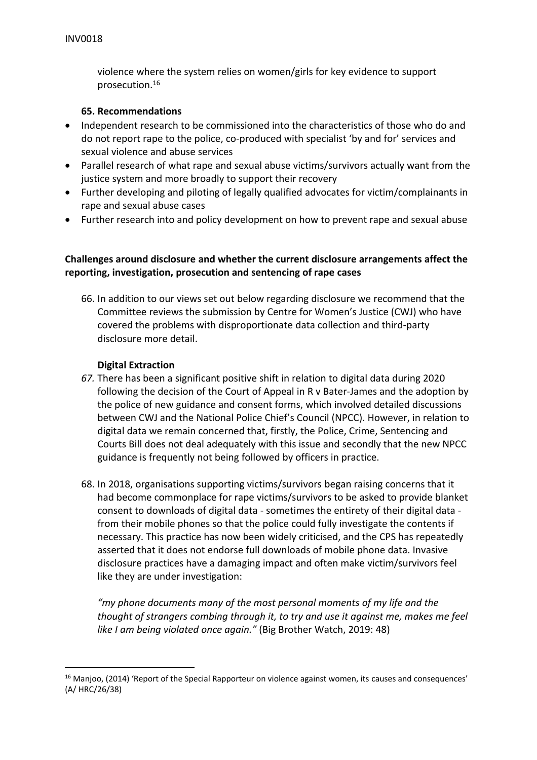violence where the system relies on women/girls for key evidence to support prosecution.<sup>16</sup>

## **65. Recommendations**

- Independent research to be commissioned into the characteristics of those who do and do not report rape to the police, co-produced with specialist 'by and for' services and sexual violence and abuse services
- Parallel research of what rape and sexual abuse victims/survivors actually want from the justice system and more broadly to support their recovery
- Further developing and piloting of legally qualified advocates for victim/complainants in rape and sexual abuse cases
- Further research into and policy development on how to prevent rape and sexual abuse

# **Challenges around disclosure and whether the current disclosure arrangements affect the reporting, investigation, prosecution and sentencing of rape cases**

66. In addition to our views set out below regarding disclosure we recommend that the Committee reviews the submission by Centre for Women's Justice (CWJ) who have covered the problems with disproportionate data collection and third-party disclosure more detail.

## **Digital Extraction**

- *67.* There has been a significant positive shift in relation to digital data during 2020 following the decision of the Court of Appeal in R v Bater-James and the adoption by the police of new guidance and consent forms, which involved detailed discussions between CWJ and the National Police Chief's Council (NPCC). However, in relation to digital data we remain concerned that, firstly, the Police, Crime, Sentencing and Courts Bill does not deal adequately with this issue and secondly that the new NPCC guidance is frequently not being followed by officers in practice.
- 68. In 2018, organisations supporting victims/survivors began raising concerns that it had become commonplace for rape victims/survivors to be asked to provide blanket consent to downloads of digital data - sometimes the entirety of their digital data from their mobile phones so that the police could fully investigate the contents if necessary. This practice has now been widely criticised, and the CPS has repeatedly asserted that it does not endorse full downloads of mobile phone data. Invasive disclosure practices have a damaging impact and often make victim/survivors feel like they are under investigation:

*"my phone documents many of the most personal moments of my life and the thought of strangers combing through it, to try and use it against me, makes me feel like I am being violated once again."* (Big Brother Watch, 2019: 48)

<sup>&</sup>lt;sup>16</sup> Manjoo, (2014) 'Report of the Special Rapporteur on violence against women, its causes and consequences' (A/ HRC/26/38)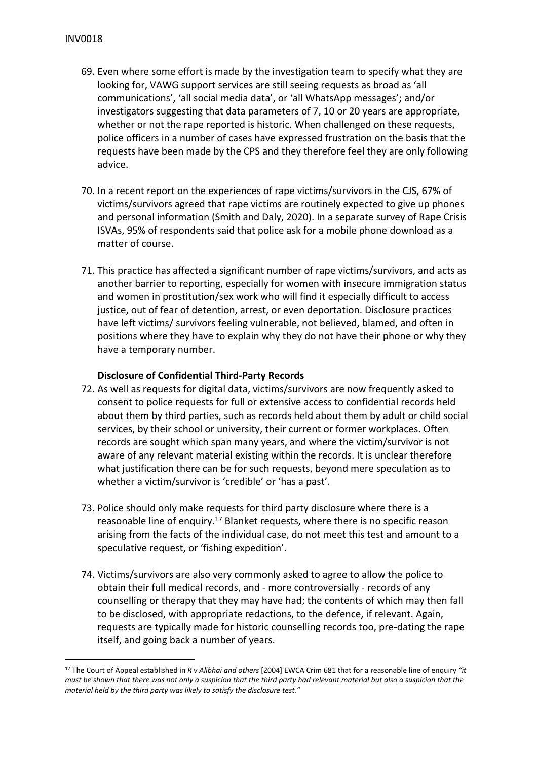- 69. Even where some effort is made by the investigation team to specify what they are looking for, VAWG support services are still seeing requests as broad as 'all communications', 'all social media data', or 'all WhatsApp messages'; and/or investigators suggesting that data parameters of 7, 10 or 20 years are appropriate, whether or not the rape reported is historic. When challenged on these requests, police officers in a number of cases have expressed frustration on the basis that the requests have been made by the CPS and they therefore feel they are only following advice.
- 70. In a recent report on the experiences of rape victims/survivors in the CJS, 67% of victims/survivors agreed that rape victims are routinely expected to give up phones and personal information (Smith and Daly, 2020). In a separate survey of Rape Crisis ISVAs, 95% of respondents said that police ask for a mobile phone download as a matter of course.
- 71. This practice has affected a significant number of rape victims/survivors, and acts as another barrier to reporting, especially for women with insecure immigration status and women in prostitution/sex work who will find it especially difficult to access justice, out of fear of detention, arrest, or even deportation. Disclosure practices have left victims/ survivors feeling vulnerable, not believed, blamed, and often in positions where they have to explain why they do not have their phone or why they have a temporary number.

# **Disclosure of Confidential Third-Party Records**

- 72. As well as requests for digital data, victims/survivors are now frequently asked to consent to police requests for full or extensive access to confidential records held about them by third parties, such as records held about them by adult or child social services, by their school or university, their current or former workplaces. Often records are sought which span many years, and where the victim/survivor is not aware of any relevant material existing within the records. It is unclear therefore what justification there can be for such requests, beyond mere speculation as to whether a victim/survivor is 'credible' or 'has a past'.
- 73. Police should only make requests for third party disclosure where there is a reasonable line of enquiry.<sup>17</sup> Blanket requests, where there is no specific reason arising from the facts of the individual case, do not meet this test and amount to a speculative request, or 'fishing expedition'.
- 74. Victims/survivors are also very commonly asked to agree to allow the police to obtain their full medical records, and - more controversially - records of any counselling or therapy that they may have had; the contents of which may then fall to be disclosed, with appropriate redactions, to the defence, if relevant. Again, requests are typically made for historic counselling records too, pre-dating the rape itself, and going back a number of years.

<sup>17</sup> The Court of Appeal established in *R v Alibhai and others* [2004] EWCA Crim 681 that for a reasonable line of enquiry *"it* must be shown that there was not only a suspicion that the third party had relevant material but also a suspicion that the *material held by the third party was likely to satisfy the disclosure test."*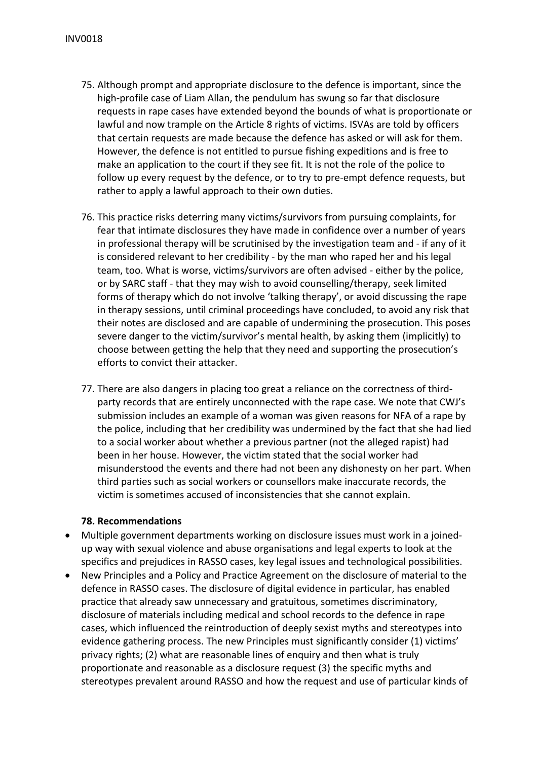- 75. Although prompt and appropriate disclosure to the defence is important, since the high-profile case of Liam Allan, the pendulum has swung so far that disclosure requests in rape cases have extended beyond the bounds of what is proportionate or lawful and now trample on the Article 8 rights of victims. ISVAs are told by officers that certain requests are made because the defence has asked or will ask for them. However, the defence is not entitled to pursue fishing expeditions and is free to make an application to the court if they see fit. It is not the role of the police to follow up every request by the defence, or to try to pre-empt defence requests, but rather to apply a lawful approach to their own duties.
- 76. This practice risks deterring many victims/survivors from pursuing complaints, for fear that intimate disclosures they have made in confidence over a number of years in professional therapy will be scrutinised by the investigation team and - if any of it is considered relevant to her credibility - by the man who raped her and his legal team, too. What is worse, victims/survivors are often advised - either by the police, or by SARC staff - that they may wish to avoid counselling/therapy, seek limited forms of therapy which do not involve 'talking therapy', or avoid discussing the rape in therapy sessions, until criminal proceedings have concluded, to avoid any risk that their notes are disclosed and are capable of undermining the prosecution. This poses severe danger to the victim/survivor's mental health, by asking them (implicitly) to choose between getting the help that they need and supporting the prosecution's efforts to convict their attacker.
- 77. There are also dangers in placing too great a reliance on the correctness of thirdparty records that are entirely unconnected with the rape case. We note that CWJ's submission includes an example of a woman was given reasons for NFA of a rape by the police, including that her credibility was undermined by the fact that she had lied to a social worker about whether a previous partner (not the alleged rapist) had been in her house. However, the victim stated that the social worker had misunderstood the events and there had not been any dishonesty on her part. When third parties such as social workers or counsellors make inaccurate records, the victim is sometimes accused of inconsistencies that she cannot explain.

## **78. Recommendations**

- Multiple government departments working on disclosure issues must work in a joinedup way with sexual violence and abuse organisations and legal experts to look at the specifics and prejudices in RASSO cases, key legal issues and technological possibilities.
- New Principles and a Policy and Practice Agreement on the disclosure of material to the defence in RASSO cases. The disclosure of digital evidence in particular, has enabled practice that already saw unnecessary and gratuitous, sometimes discriminatory, disclosure of materials including medical and school records to the defence in rape cases, which influenced the reintroduction of deeply sexist myths and stereotypes into evidence gathering process. The new Principles must significantly consider (1) victims' privacy rights; (2) what are reasonable lines of enquiry and then what is truly proportionate and reasonable as a disclosure request (3) the specific myths and stereotypes prevalent around RASSO and how the request and use of particular kinds of